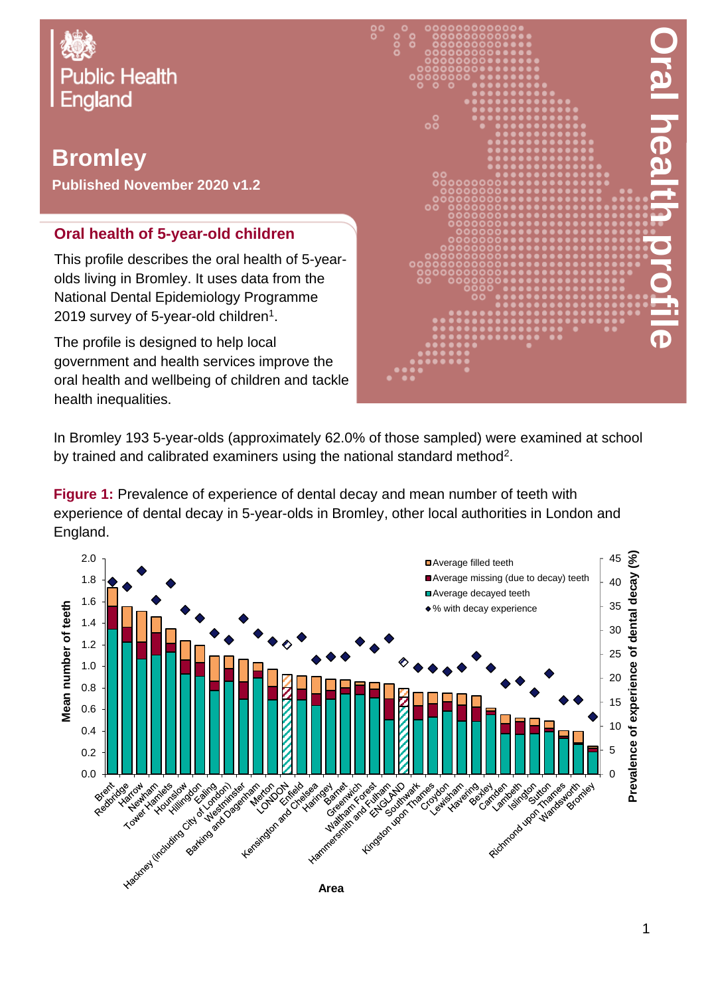

**Bromley Published November 2020 v1.2**

## **Oral health of 5-year-old children**

This profile describes the oral health of 5-yearolds living in Bromley. It uses data from the National Dental Epidemiology Programme 2019 survey of 5-year-old children $^{\rm 1}.$ 

The profile is designed to help local government and health services improve the oral health and wellbeing of children and tackle health inequalities.



In Bromley 193 5-year-olds (approximately 62.0% of those sampled) were examined at school by trained and calibrated examiners using the national standard method<sup>2</sup>.

**Figure 1:** Prevalence of experience of dental decay and mean number of teeth with experience of dental decay in 5-year-olds in Bromley, other local authorities in London and England.

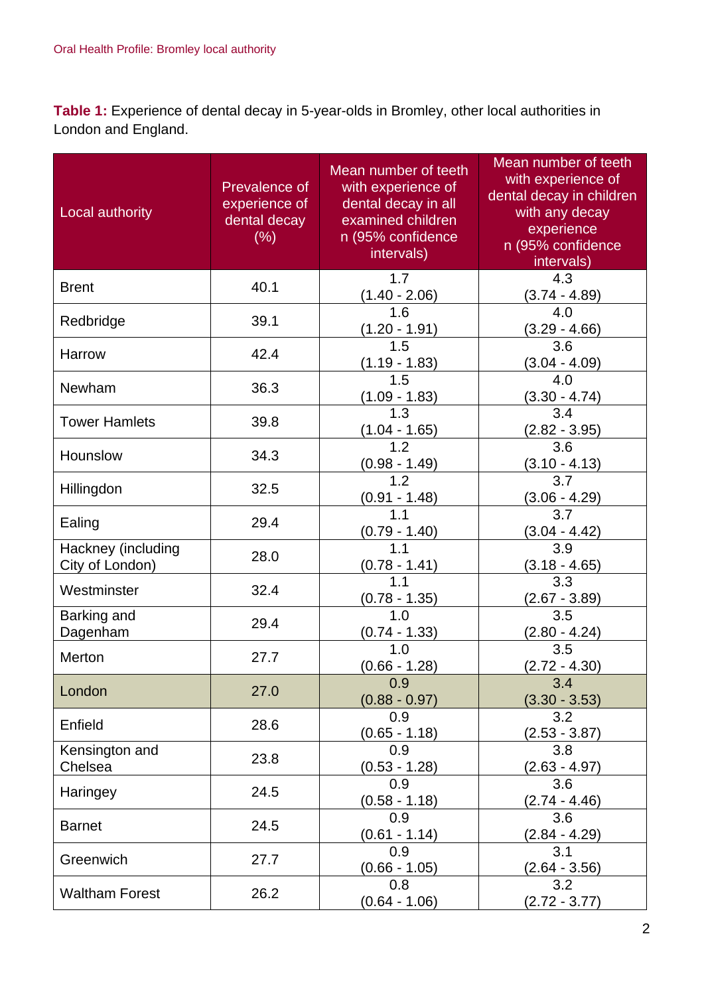**Table 1:** Experience of dental decay in 5-year-olds in Bromley, other local authorities in London and England.

| Local authority                       | Prevalence of<br>experience of<br>dental decay<br>(% ) | Mean number of teeth<br>with experience of<br>dental decay in all<br>examined children<br>n (95% confidence<br>intervals) | Mean number of teeth<br>with experience of<br>dental decay in children<br>with any decay<br>experience<br>n (95% confidence<br>intervals) |
|---------------------------------------|--------------------------------------------------------|---------------------------------------------------------------------------------------------------------------------------|-------------------------------------------------------------------------------------------------------------------------------------------|
| <b>Brent</b>                          | 40.1                                                   | 1.7<br>$(1.40 - 2.06)$                                                                                                    | 4.3<br>$(3.74 - 4.89)$                                                                                                                    |
| Redbridge                             | 39.1                                                   | 1.6<br><u>(1.20 - 1.91)</u>                                                                                               | 4.0<br>$(3.29 - 4.66)$                                                                                                                    |
| Harrow                                | 42.4                                                   | 1.5<br>$(1.19 - 1.83)$                                                                                                    | 3.6<br>$(3.04 - 4.09)$                                                                                                                    |
| Newham                                | 36.3                                                   | 1.5<br>$(1.09 - 1.83)$                                                                                                    | 4.0<br>$(3.30 - 4.74)$                                                                                                                    |
| <b>Tower Hamlets</b>                  | 39.8                                                   | 1.3<br>$\frac{(1.04 - 1.65)}{1.2}$                                                                                        | 3.4<br>$(2.82 - 3.95)$                                                                                                                    |
| Hounslow                              | 34.3                                                   | <u>(0.98 - 1.49)</u>                                                                                                      | $\overline{3.6}$<br><u>(3.10 - 4.13)</u>                                                                                                  |
| Hillingdon                            | 32.5                                                   | 1.2<br>$\frac{(0.91 - 1.48)}{1.1}$                                                                                        | 3.7<br>$\frac{(3.06 - 4.29)}{3.7}$                                                                                                        |
| Ealing                                | 29.4                                                   | $\frac{(0.79 - 1.40)}{1.1}$                                                                                               | $\frac{(3.04 - 4.42)}{3.9}$                                                                                                               |
| Hackney (including<br>City of London) | 28.0                                                   | $(0.78 - 1.41)$                                                                                                           | $(3.18 - 4.65)$                                                                                                                           |
| Westminster                           | 32.4                                                   | $(0.78 - 1.35)$                                                                                                           | 3.3<br><u>(2.67 - 3.89)</u>                                                                                                               |
| Barking and<br>Dagenham               | 29.4                                                   | 1.0<br>$(0.74 - 1.33)$                                                                                                    | 3.5<br>(2.80 - 4.24)                                                                                                                      |
| Merton                                | 27.7                                                   | 1.0<br>$(0.66 - 1.28)$                                                                                                    | 3.5<br>$(2.72 - 4.30)$                                                                                                                    |
| London                                | 27.0                                                   | 0.9<br>$(0.88 - 0.97)$                                                                                                    | 3.4<br>$(3.30 - 3.53)$                                                                                                                    |
| Enfield                               | 28.6                                                   | 0.9<br>$(0.65 - 1.18)$                                                                                                    | 3.2<br>$(2.53 - 3.87)$                                                                                                                    |
| Kensington and<br>Chelsea             | 23.8                                                   | 0.9<br>$(0.53 - 1.28)$                                                                                                    | 3.8<br>(2.63 - 4.97)                                                                                                                      |
| Haringey                              | 24.5                                                   | 0.9<br>$(0.58 - 1.18)$                                                                                                    | 3.6<br>$(2.74 - 4.46)$                                                                                                                    |
| <b>Barnet</b>                         | 24.5                                                   | 0.9<br>$(0.61 - 1.14)$                                                                                                    | 3.6<br>(2.84 - 4.29)                                                                                                                      |
| Greenwich                             | 27.7                                                   | 0.9<br>$(0.66 - 1.05)$                                                                                                    | 3.1<br>$(2.64 - 3.56)$                                                                                                                    |
| <b>Waltham Forest</b>                 | 26.2                                                   | 0.8<br>$(0.64 - 1.06)$                                                                                                    | 3.2<br>$(2.72 - 3.77)$                                                                                                                    |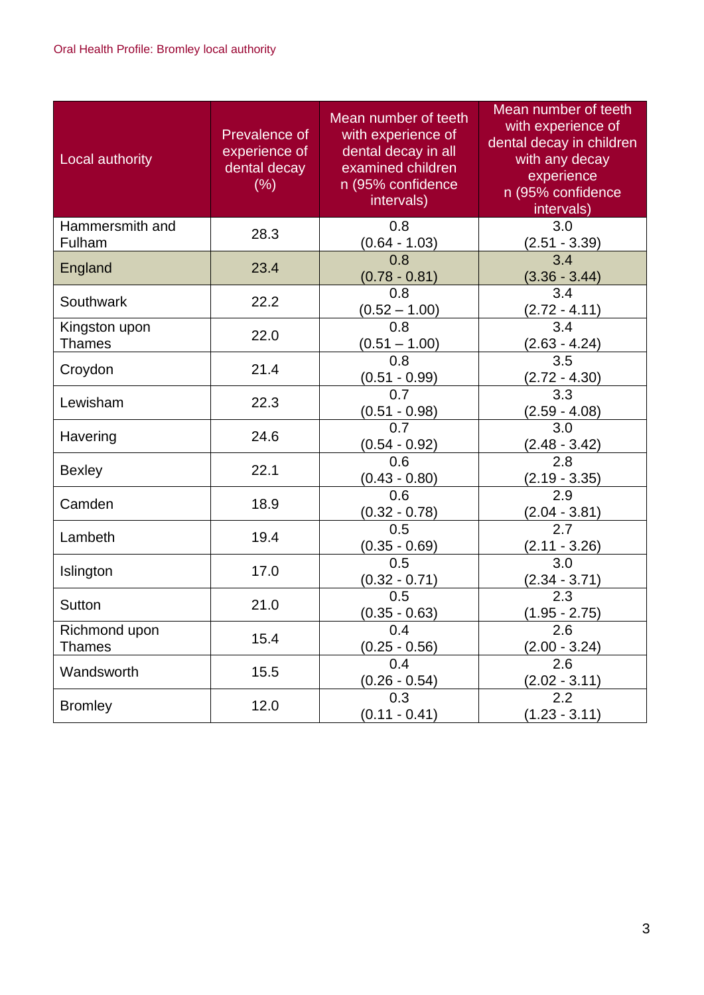| Local authority                | Prevalence of<br>experience of<br>dental decay<br>(% ) | Mean number of teeth<br>with experience of<br>dental decay in all<br>examined children<br>n (95% confidence<br>intervals) | Mean number of teeth<br>with experience of<br>dental decay in children<br>with any decay<br>experience<br>n (95% confidence<br>intervals) |
|--------------------------------|--------------------------------------------------------|---------------------------------------------------------------------------------------------------------------------------|-------------------------------------------------------------------------------------------------------------------------------------------|
| Hammersmith and<br>Fulham      | 28.3                                                   | 0.8<br>$(0.64 - 1.03)$                                                                                                    | 3.0<br>$(2.51 - 3.39)$                                                                                                                    |
| England                        | 23.4                                                   | 0.8<br>$(0.78 - 0.81)$                                                                                                    | 3.4<br>$(3.36 - 3.44)$                                                                                                                    |
| Southwark                      | 22.2                                                   | 0.8<br>$(0.52 - 1.00)$                                                                                                    | 3.4<br>$(2.72 - 4.11)$                                                                                                                    |
| Kingston upon<br><b>Thames</b> | 22.0                                                   | 0.8<br>$(0.51 - 1.00)$                                                                                                    | 3.4<br>$(2.63 - 4.24)$                                                                                                                    |
| Croydon                        | 21.4                                                   | 0.8<br><u>(0.51 - 0.99)</u>                                                                                               | 3.5<br>$(2.72 - 4.30)$                                                                                                                    |
| Lewisham                       | 22.3                                                   | $\overline{0.7}$<br>$(0.51 - 0.98)$                                                                                       | 3.3<br>(2.59 - 4.08)                                                                                                                      |
| Havering                       | 24.6                                                   | 0.7<br>$(0.54 - 0.92)$                                                                                                    | 3.0<br>$(2.48 - 3.42)$                                                                                                                    |
| <b>Bexley</b>                  | 22.1                                                   | 0.6<br>$(0.43 - 0.80)$                                                                                                    | 2.8<br>$(2.19 - 3.35)$                                                                                                                    |
| Camden                         | 18.9                                                   | 0.6<br>$(0.32 - 0.78)$                                                                                                    | 2.9<br>$(2.04 - 3.81)$                                                                                                                    |
| Lambeth                        | 19.4                                                   | 0.5<br>$(0.35 - 0.69)$                                                                                                    | $\overline{2.7}$<br>$(2.11 - 3.26)$                                                                                                       |
| Islington                      | 17.0                                                   | 0.5<br>$(0.32 - 0.71)$                                                                                                    | 3.0<br>(2.34 - 3.71)                                                                                                                      |
| Sutton                         | 21.0                                                   | 0.5<br>$(0.35 - 0.63)$                                                                                                    | $\overline{2.3}$<br>$(1.95 - 2.75)$                                                                                                       |
| Richmond upon<br><b>Thames</b> | 15.4                                                   | 0.4<br>$(0.25 - 0.56)$                                                                                                    | 2.6<br>$(2.00 - 3.24)$                                                                                                                    |
| Wandsworth                     | 15.5                                                   | 0.4<br>$(0.26 - 0.54)$                                                                                                    | 2.6<br>$(2.02 - 3.11)$                                                                                                                    |
| <b>Bromley</b>                 | 12.0                                                   | 0.3<br>$(0.11 - 0.41)$                                                                                                    | 2.2<br>$(1.23 - 3.11)$                                                                                                                    |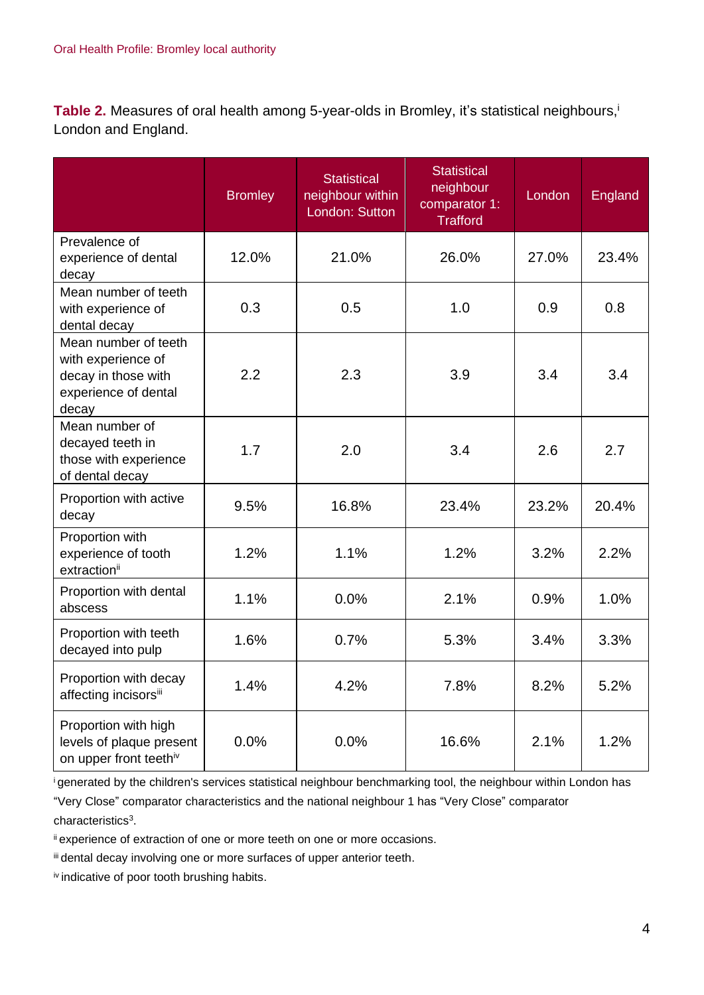Table 2. Measures of oral health among 5-year-olds in Bromley, it's statistical neighbours,<sup>i</sup> London and England.

|                                                                                                    | <b>Bromley</b> | <b>Statistical</b><br>neighbour within<br>London: Sutton | <b>Statistical</b><br>neighbour<br>comparator 1:<br><b>Trafford</b> | London | England |
|----------------------------------------------------------------------------------------------------|----------------|----------------------------------------------------------|---------------------------------------------------------------------|--------|---------|
| Prevalence of<br>experience of dental<br>decay                                                     | 12.0%          | 21.0%                                                    | 26.0%                                                               | 27.0%  | 23.4%   |
| Mean number of teeth<br>with experience of<br>dental decay                                         | 0.3            | 0.5                                                      | 1.0                                                                 | 0.9    | 0.8     |
| Mean number of teeth<br>with experience of<br>decay in those with<br>experience of dental<br>decay | 2.2            | 2.3                                                      | 3.9                                                                 | 3.4    | 3.4     |
| Mean number of<br>decayed teeth in<br>those with experience<br>of dental decay                     | 1.7            | 2.0                                                      | 3.4                                                                 | 2.6    | 2.7     |
| Proportion with active<br>decay                                                                    | 9.5%           | 16.8%                                                    | 23.4%                                                               | 23.2%  | 20.4%   |
| Proportion with<br>experience of tooth<br>extractionii                                             | 1.2%           | 1.1%                                                     | 1.2%                                                                | 3.2%   | 2.2%    |
| Proportion with dental<br>abscess                                                                  | 1.1%           | 0.0%                                                     | 2.1%                                                                | 0.9%   | 1.0%    |
| Proportion with teeth<br>decayed into pulp                                                         | 1.6%           | 0.7%                                                     | 5.3%                                                                | 3.4%   | 3.3%    |
| Proportion with decay<br>affecting incisorsiii                                                     | 1.4%           | 4.2%                                                     | 7.8%                                                                | 8.2%   | 5.2%    |
| Proportion with high<br>levels of plaque present<br>on upper front teethiv                         | 0.0%           | 0.0%                                                     | 16.6%                                                               | 2.1%   | 1.2%    |

<sup>i</sup>generated by the children's services statistical neighbour benchmarking tool, the neighbour within London has

"Very Close" comparator characteristics and the national neighbour 1 has "Very Close" comparator characteristics<sup>3</sup>.

ii experience of extraction of one or more teeth on one or more occasions.

iii dental decay involving one or more surfaces of upper anterior teeth.

iv indicative of poor tooth brushing habits.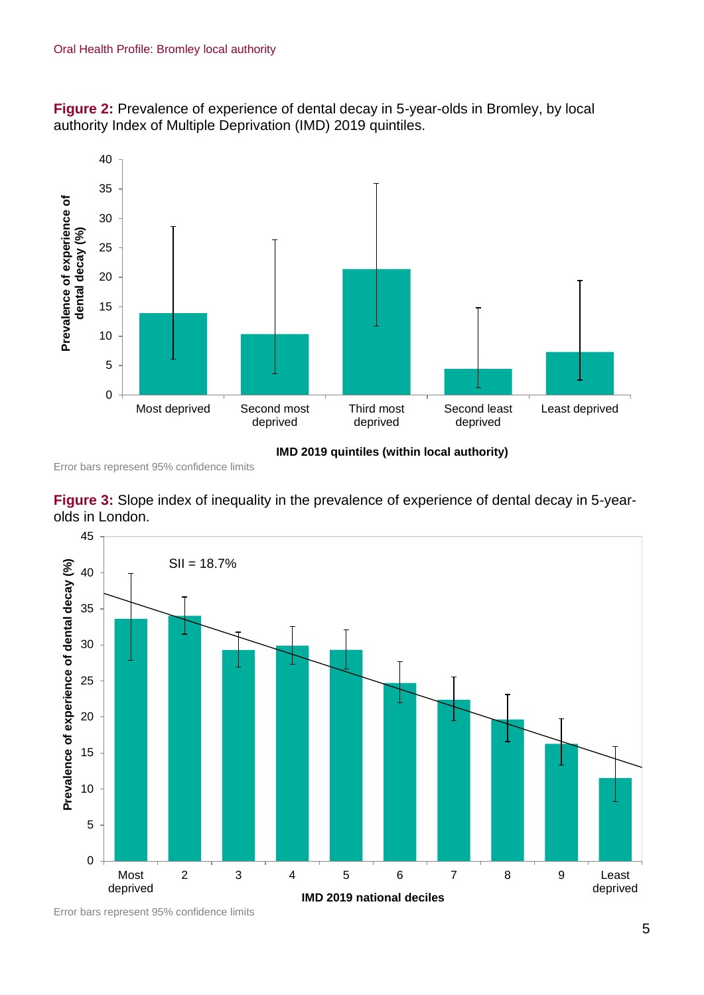**Figure 2:** Prevalence of experience of dental decay in 5-year-olds in Bromley, by local authority Index of Multiple Deprivation (IMD) 2019 quintiles.



**IMD 2019 quintiles (within local authority)**

Error bars represent 95% confidence limits





Error bars represent 95% confidence limits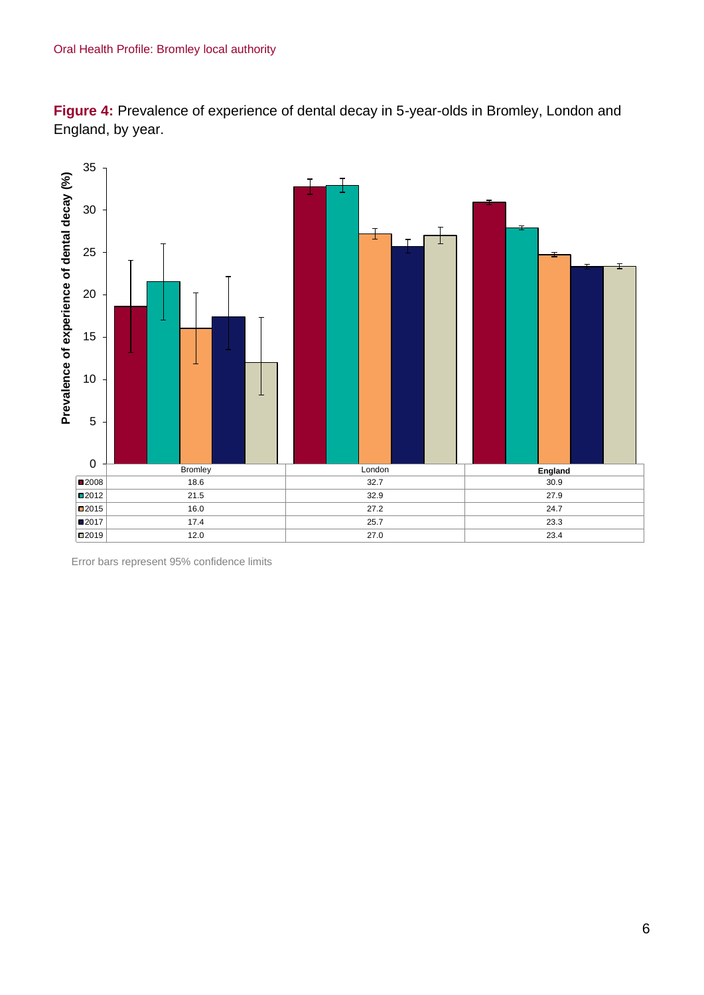**Figure 4:** Prevalence of experience of dental decay in 5-year-olds in Bromley, London and England, by year.



Error bars represent 95% confidence limits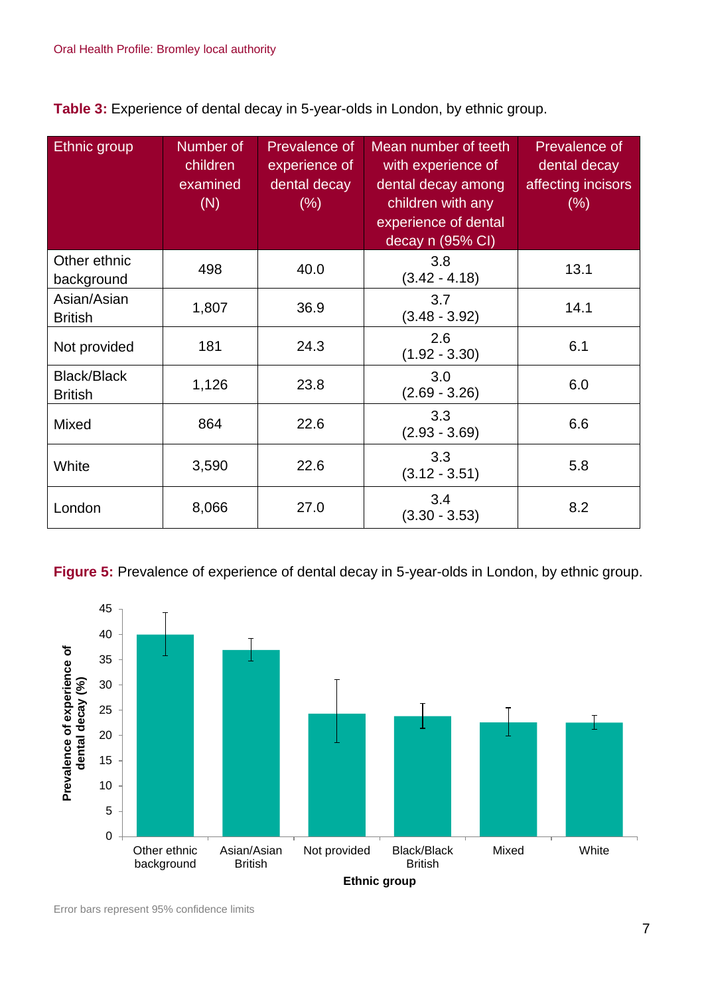**Table 3:** Experience of dental decay in 5-year-olds in London, by ethnic group.

| <b>Ethnic</b> group                  | Number of<br>children<br>examined<br>(N) | Prevalence of<br>experience of<br>dental decay<br>$(\% )$ | Mean number of teeth<br>with experience of<br>dental decay among<br>children with any<br>experience of dental<br>decay n (95% CI) | Prevalence of<br>dental decay<br>affecting incisors<br>$(\% )$ |
|--------------------------------------|------------------------------------------|-----------------------------------------------------------|-----------------------------------------------------------------------------------------------------------------------------------|----------------------------------------------------------------|
| Other ethnic<br>background           | 498                                      | 40.0                                                      | 3.8<br>$(3.42 - 4.18)$                                                                                                            | 13.1                                                           |
| Asian/Asian<br><b>British</b>        | 1,807                                    | 36.9                                                      | 3.7<br>$(3.48 - 3.92)$                                                                                                            | 14.1                                                           |
| Not provided                         | 181                                      | 24.3                                                      | 2.6<br>$(1.92 - 3.30)$                                                                                                            | 6.1                                                            |
| <b>Black/Black</b><br><b>British</b> | 1,126                                    | 23.8                                                      | 3.0<br>$(2.69 - 3.26)$                                                                                                            | 6.0                                                            |
| Mixed                                | 864                                      | 22.6                                                      | 3.3<br>$(2.93 - 3.69)$                                                                                                            | 6.6                                                            |
| White                                | 3,590                                    | 22.6                                                      | 3.3<br>$(3.12 - 3.51)$                                                                                                            | 5.8                                                            |
| London                               | 8,066                                    | 27.0                                                      | 3.4<br>$(3.30 - 3.53)$                                                                                                            | 8.2                                                            |

**Figure 5:** Prevalence of experience of dental decay in 5-year-olds in London, by ethnic group.

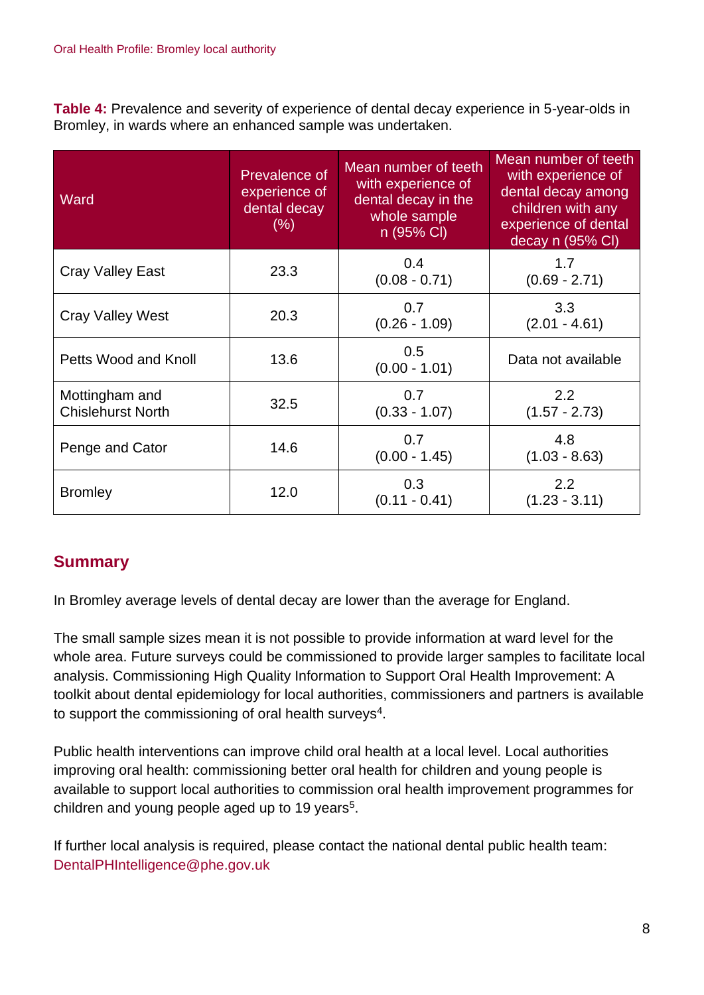**Table 4:** Prevalence and severity of experience of dental decay experience in 5-year-olds in Bromley, in wards where an enhanced sample was undertaken.

| Ward                                       | <b>Prevalence of</b><br>experience of<br>dental decay<br>$(\% )$ | Mean number of teeth<br>with experience of<br>dental decay in the<br>whole sample<br>n (95% CI) | Mean number of teeth<br>with experience of<br>dental decay among<br>children with any<br>experience of dental<br>decay n (95% CI) |
|--------------------------------------------|------------------------------------------------------------------|-------------------------------------------------------------------------------------------------|-----------------------------------------------------------------------------------------------------------------------------------|
| <b>Cray Valley East</b>                    | 23.3                                                             | 0.4<br>$(0.08 - 0.71)$                                                                          | 1.7<br>$(0.69 - 2.71)$                                                                                                            |
| <b>Cray Valley West</b>                    | 20.3                                                             | 0.7<br>$(0.26 - 1.09)$                                                                          | 3.3<br>$(2.01 - 4.61)$                                                                                                            |
| Petts Wood and Knoll                       | 13.6                                                             | 0.5<br>$(0.00 - 1.01)$                                                                          | Data not available                                                                                                                |
| Mottingham and<br><b>Chislehurst North</b> | 32.5                                                             | 0.7<br>$(0.33 - 1.07)$                                                                          | 2.2<br>$(1.57 - 2.73)$                                                                                                            |
| Penge and Cator                            | 14.6                                                             | 0.7<br>$(0.00 - 1.45)$                                                                          | 4.8<br>$(1.03 - 8.63)$                                                                                                            |
| <b>Bromley</b>                             | 12.0                                                             | 0.3<br>$(0.11 - 0.41)$                                                                          | $2.2^{\circ}$<br>$(1.23 - 3.11)$                                                                                                  |

## **Summary**

In Bromley average levels of dental decay are lower than the average for England.

The small sample sizes mean it is not possible to provide information at ward level for the whole area. Future surveys could be commissioned to provide larger samples to facilitate local analysis. Commissioning High Quality Information to Support Oral Health Improvement: A toolkit about dental epidemiology for local authorities, commissioners and partners is available to support the commissioning of oral health surveys<sup>4</sup>.

Public health interventions can improve child oral health at a local level. Local authorities improving oral health: commissioning better oral health for children and young people is available to support local authorities to commission oral health improvement programmes for children and young people aged up to 19 years<sup>5</sup>.

If further local analysis is required, please contact the national dental public health team: DentalPHIntelligence@phe.gov.uk